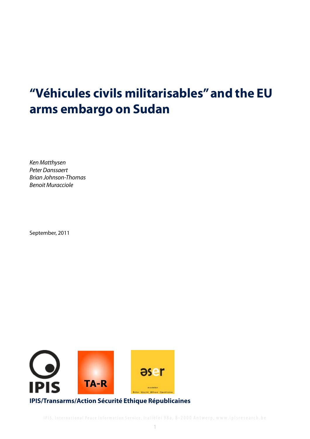# **"Véhicules civils militarisables" and the EU arms embargo on Sudan**

*Ken Matthysen Peter Danssaert Brian Johnson-Thomas Benoit Muracciole*

September, 2011

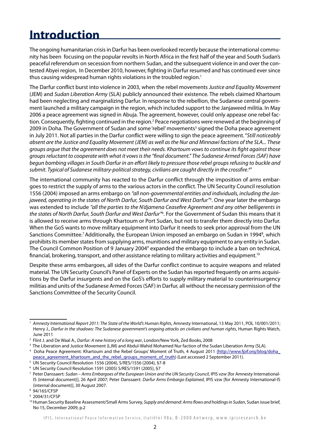### **Introduction**

The ongoing humanitarian crisis in Darfur has been overlooked recently because the international community has been focusing on the popular revolts in North Africa in the first half of the year and South Sudan's peaceful referendum on secession from northern Sudan, and the subsequent violence in and over the contested Abyei region, In December 2010, however, fighting in Darfur resumed and has continued ever since thus causing widespread human rights violations in the troubled region.<sup>1</sup>

The Darfur conflict burst into violence in 2003, when the rebel movements *Justice and Equality Movement*  (JEM) and *Sudan Liberation Army* (SLA) publicly announced their existence. The rebels claimed Khartoum had been neglecting and marginalizing Darfur. In response to the rebellion, the Sudanese central government launched a military campaign in the region, which included support to the Janjaweed militia. In May 2006 a peace agreement was signed in Abuja. The agreement, however, could only appease one rebel faction. Consequently, fighting continued in the region.<sup>2</sup> Peace negotiations were renewed at the beginning of 2009 in Doha. The Government of Sudan and some 'rebel' movements<sup>3</sup> signed the Doha peace agreement in July 2011. Not all parties in the Darfur conflict were willing to sign the peace agreement. "*Still noticeably absent are the Justice and Equality Movement (JEM) as well as the Nur and Minnawi factions of the SLA... These groups argue that the agreement does not meet their needs. Khartoum vows to continue its fight against those groups reluctant to cooperate with what it vows is the "final document." The Sudanese Armed Forces (SAF) have begun bombing villages in South Darfur in an effort likely to pressure those rebel groups refusing to buckle and submit. Typical of Sudanese military-political strategy, civilians are caught directly in the crossfire*. 4 "

The international community has reacted to the Darfur conflict through the imposition of arms embargoes to restrict the supply of arms to the various actors in the conflict. The UN Security Council resolution 1556 (2004) imposed an arms embargo on *"all non-governmental entities and individuals, including the Janjaweed, operating in the states of North Darfur, South Darfur and West Darfur"5* . One year later the embargo was extended to include *"all the parties to the N'djamena Ceasefire Agreement and any other belligerents in the states of North Darfur, South Darfur and West Darfur"6* . For the Government of Sudan this means that it is allowed to receive arms through Khartoum or Port Sudan, but not to transfer them directly into Darfur. When the GoS wants to move military equipment into Darfur it needs to seek prior approval from the UN Sanctions Committee.<sup>7</sup> Additionally, the European Union imposed an embargo on Sudan in 1994<sup>8</sup>, which prohibits its member states from supplying arms, munitions and military equipment to any entity in Sudan. The Council Common Position of 9 January 2004<sup>9</sup> expanded the embargo to include a ban on technical, financial, brokering, transport, and other assistance relating to military activities and equipment.<sup>10</sup>

Despite these arms embargoes, all sides of the Darfur conflict continue to acquire weapons and related material. The UN Security Council's Panel of Experts on the Sudan has reported frequently on arms acquisitions by the Darfur insurgents and on the GoS's efforts to supply military material to counterinsurgency militias and units of the Sudanese Armed Forces (SAF) in Darfur, all without the necessary permission of the Sanctions Committee of the Security Council.

<sup>1</sup> *Amnesty International Report 2011: The State of the World's Human Rights*, Amnesty International, 13 May 2011, POL 10/001/2011; Henry J., *Darfur in the shadows: The Sudanese government's ongoing attacks on civilians and human rights*, Human Rights Watch, June 2011

<sup>2</sup> Flint J. and De Waal A., *Darfur: A new history of a long war*, London/New York, Zed Books, 2008

<sup>3</sup> The Liberation and Justice Movement (LJM) and Abdul-Wahid Mohamed Nur faction of the Sudan Liberation Army (SLA).

<sup>&</sup>lt;sup>4</sup> Doha Peace Agreement: Khartoum and the Rebel Groups' Moment of Truth, 4 August 2011 (http://www.fpif.org/blog/doha\_ peace\_agreement\_khartoum\_and\_the\_rebel\_groups\_moment\_of\_truth) (Last accessed 2 September 2011).

<sup>5</sup> UN Security Council Resolution 1556 (2004), S/RES/1556 (2004), §7-8

<sup>6</sup> UN Security Council Resolution 1591 (2005) S/RES/1591 (2005), §7

<sup>7</sup> Peter Danssaert: *Sudan – Arms Embargoes of the European Union and the UN Security Council*, IPIS vzw [for Amnesty International-IS (internal document)], 26 April 2007; Peter Danssaert: *Darfur Arms Embargo Explained*, IPIS vzw [for Amnesty International-IS (internal document)], 30 August 2007.

<sup>8</sup> 94/165/CFSP

<sup>9</sup> 2004/31/CFSP

<sup>10</sup> Human Security Baseline Assessment/Small Arms Survey, *Supply and demand: Arms flows and holdings in Sudan*, Sudan issue brief, No 15, December 2009, p.2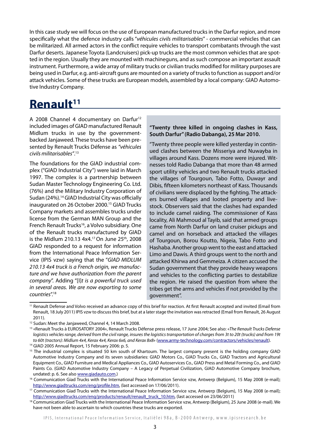In this case study we will focus on the use of European manufactured trucks in the Darfur region, and more specifically what the defence industry calls "*véhicules civils militarisables*" - commercial vehicles that can be militarized. All armed actors in the conflict require vehicles to transport combatants through the vast Darfur deserts. Japanese Toyota (Landcruisers) pick-up trucks are the most common vehicles that are spotted in the region. Usually they are mounted with machineguns, and as such compose an important assault instrument. Furthermore, a wide array of military trucks or civilian trucks modified for military purposes are being used in Darfur, e.g. anti-aircraft guns are mounted on a variety of trucks to function as support and/or attack vehicles. Some of these trucks are European models, assembled by a local company: GIAD Automotive Industry Company.

### **Renault11**

A 2008 Channel 4 documentary on Darfur<sup>12</sup> included images of GIAD manufactured Renault Midlum trucks in use by the governmentbacked Janjaweed. These trucks have been presented by Renault Trucks Défense as *"véhicules civils militarisables"*. 13

The foundations for the GIAD industrial complex ("GIAD Industrial City") were laid in March 1997. The complex is a partnership between Sudan Master Technology Engineering Co. Ltd. (76%) and the Military Industry Corporation of Sudan (24%).14 GIAD Industrial City was officially inaugurated on 26 October 2000.<sup>15</sup> GIAD Trucks Company markets and assembles trucks under license from the German MAN Group and the French Renault Trucks<sup>16</sup>, a Volvo subsidiary. One of the Renault trucks manufactured by GIAD is the Midlum 210.13 4x4.<sup>17</sup> On June 25<sup>th</sup>, 2008 GIAD responded to a request for information from the International Peace Information Service (IPIS vzw) saying that the "*GIAD MIDLUM 210.13 4x4 truck is a French origin, we manufacture and we have authorization from the parent company*". Adding "[I]*t is a powerful truck used in several areas. We are now exporting to some countries*".18

#### **"Twenty three killed in ongoing clashes in Kass, South Darfur" (Radio Dabanga), 25 Mar 2010.**

"Twenty three people were killed yesterday in continued clashes between the Misseriya and Nuwayba in villages around Kass. Dozens more were injured. Witnesses told Radio Dabanga that more than 48 armed sport utility vehicles and two Renault trucks attacked the villages of Tourgoun, Tabo Fotto, Duwayr and Dibis, fifteen kilometers northeast of Kass. Thousands of civilians were displaced by the fighting. The attackers burned villages and looted property and livestock. Observers said that the clashes had expanded to include camel raiding. The commissioner of Kass locality, Ali Mahmoud al Tayib, said that armed groups came from North Darfur on land cruiser pickups and camel and on horseback and attacked the villages of Tourgoun, Borou Koutto, Nigeia, Tabo Fotto and Hashaba. Another group went to the east and attacked Limo and Dawis. A third groups went to the north and attacked Khirwa and Gemmeiza. A citizen accused the Sudan government that they provide heavy weapons and vehicles to the conflicting parties to destabilize the region. He raised the question from where the tribes get the arms and vehicles if not provided by the government".

<sup>&</sup>lt;sup>11</sup> Renault Defense and Volvo received an advance copy of this brief for reaction. At first Renault accepted and invited (Email from Renault, 18 July 2011) IPIS vzw to discuss this brief, but at a later stage the invitation was retracted (Email from Renault, 26 August 2011).

<sup>12</sup> Sudan: Meet the Janjaweed, Channel 4, 14 March 2008.

<sup>13 «</sup>Renault Trucks à EUROSATORY 2004», Renault Trucks Défense press release, 17 June 2004; See also: «*The Renault Trucks Defense logistics vehicles range, derived from the civil range, insures the logistics transportation of charges from 3t to 20t (trucks) and from 19t to 60t (tractors): Midlum 4x4, Kerax 4x4, Kerax 6x6, and Kerax 8x8*» (www.army-technology.com/contractors/vehicles/renault).

<sup>14</sup> GIAD 2005 Annual Report, 15 February 2006: p. 5.

<sup>&</sup>lt;sup>15</sup> The industrial complex is situated 50 km south of Khartoum. The largest company present is the holding company GIAD Automotive Industry Company and its seven subsidiaries: GIAD Motors Co., GIAD Trucks Co., GIAD Tractors and Agricultural Equipment Co., GIAD Furniture and Medical Appliances Co., GIAD Autoservices Co., GIAD Press and Metal Forming Co., and GIAD Paints Co. (GIAD Automotive Industry Company – A Legacy of Perpetual Civilization, GIAD Automotive Company brochure, undated: p. 6. See also www.giadauto.com.)

<sup>&</sup>lt;sup>16</sup> Communication Giad Trucks with the International Peace Information Service vzw, Antwerp (Belgium), 15 May 2008 (e-mail); http://www.giadtrucks.com/eng/profile.htm, (last accessed on 17/06/2011).

<sup>&</sup>lt;sup>17</sup> Communication Giad Trucks with the International Peace Information Service vzw, Antwerp (Belgium), 15 May 2008 (e-mail); http://www.giadtrucks.com/eng/products/renault/renault\_truck\_10.htm, (last accessed on 23/06/2011)

<sup>&</sup>lt;sup>18</sup> Communication Giad Trucks with the International Peace Information Service vzw, Antwerp (Belgium), 25 June 2008 (e-mail). We have not been able to ascertain to which countries these trucks are exported.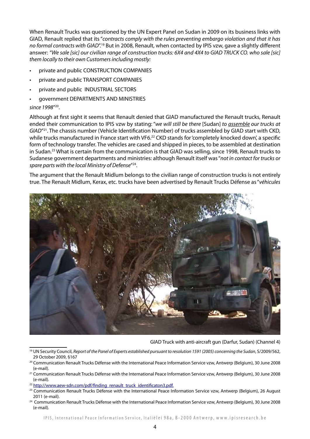When Renault Trucks was questioned by the UN Expert Panel on Sudan in 2009 on its business links with GIAD, Renault replied that its "*contracts comply with the rules preventing embargo violation and that it has no formal contracts with GIAD*".19 But in 2008, Renault, when contacted by IPIS vzw, gave a slightly different answer: *"We sale [sic] our civilian range of construction trucks: 6X4 and 4X4 to GIAD TRUCK CO. who sale [sic] them locally to their own Customers including mostly:*

- private and public CONSTRUCTION COMPANIES
- private and public TRANSPORT COMPANIES
- private and public INDUSTRIAL SECTORS
- government DEPARTMENTS AND MINISTRIES

*since 1998*"20.

Although at first sight it seems that Renault denied that GIAD manufactured the Renault trucks, Renault ended their communication to IPIS vzw by stating: "*we will still be there* [Sudan] *to assemble our trucks at GIAD*"21. The chassis number (Vehicle Identification Number) of trucks assembled by GIAD start with CKD, while trucks manufactured in France start with VF6.<sup>22</sup> CKD stands for 'completely knocked down', a specific form of technology transfer. The vehicles are cased and shipped in pieces, to be assembled at destination in Sudan.23 What is certain from the communication is that GIAD was selling, since 1998, Renault trucks to Sudanese government departments and ministries: although Renault itself was "*not in contact for trucks or spare parts with the local Ministry of Defense*"24.

The argument that the Renault Midlum belongs to the civilian range of construction trucks is not entirely true. The Renault Midlum, Kerax, etc. trucks have been advertised by Renault Trucks Défense as "*véhicules* 



GIAD Truck with anti-aircraft gun (Darfur, Sudan) (Channel 4)

<sup>22</sup> http://www.aew-sdn.com/pdf/finding\_renault\_truck\_identificaton3.pdf.

<sup>19</sup> UN Security Council, *Report of the Panel of Experts established pursuant to resolution 1591 (2005) concerning the Sudan*, S/2009/562, 29 October 2009, §167

<sup>20</sup> Communication Renault Trucks Défense with the International Peace Information Service vzw, Antwerp (Belgium), 30 June 2008 (e-mail).

<sup>&</sup>lt;sup>21</sup> Communication Renault Trucks Défense with the International Peace Information Service vzw, Antwerp (Belgium), 30 June 2008 (e-mail).

<sup>&</sup>lt;sup>23</sup> Communication Renault Trucks Défense with the International Peace Information Service vzw, Antwerp (Belgium), 26 August 2011 (e-mail).

<sup>&</sup>lt;sup>24</sup> Communication Renault Trucks Défense with the International Peace Information Service vzw, Antwerp (Belgium), 30 June 2008 (e-mail).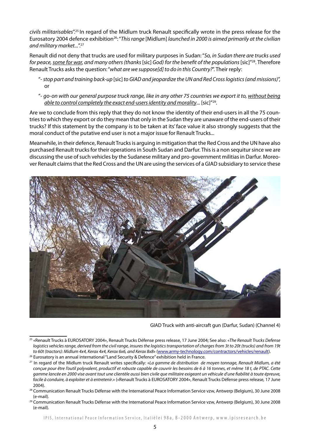*civils militarisables*".25 In regard of the Midlum truck Renault specifically wrote in the press release for the Eurosatory 2004 defence exhibition<sup>26</sup>: "This range [Midlum] launched in 2000 is aimed primarily at the civilian *and military market...*".27

Renault did not deny that trucks are used for military purposes in Sudan: "*So, in Sudan there are trucks used for peace, some for war, and many others (thanks* [sic] *God) for the benefit of the populations* [sic]"28. Therefore Renault Trucks asks the question: "*what are we suppose[d] to do in this Country?*". Their reply:

- "- *stop part and training back-up* [sic] *to GIAD and jeopardize the UN and Red Cross logistics (and missions)*", or
- "- *go-on with our general purpose truck range, like in any other 75 countries we export it to, without being able to control completely the exact end-users identity and morality*... [sic]"29.

Are we to conclude from this reply that they do not know the identity of their end-users in all the 75 countries to which they export or do they mean that only in the Sudan they are unaware of the end-users of their trucks? If this statement by the company is to be taken at its' face value it also strongly suggests that the moral conduct of the putative end user is not a major issue for Renault Trucks...

Meanwhile, in their defence, Renault Trucks is arguing in mitigation that the Red Cross and the UN have also purchased Renault trucks for their operations in South Sudan and Darfur. This is a non sequitur since we are discussing the use of such vehicles by the Sudanese military and pro-government militias in Darfur. Moreover Renault claims that the Red Cross and the UN are using the services of a GIAD subsidiary to service these



GIAD Truck with anti-aircraft gun (Darfur, Sudan) (Channel 4)

<sup>25 «</sup>Renault Trucks à EUROSATORY 2004», Renault Trucks Défense press release, 17 June 2004; See also: «*The Renault Trucks Defense logistics vehicles range, derived from the civil range, insures the logistics transportation of charges from 3t to 20t (trucks) and from 19t to 60t (tractors): Midlum 4x4, Kerax 4x4, Kerax 6x6, and Kerax 8x8*» (www.army-technology.com/contractors/vehicles/renault).

<sup>26</sup> Eurosatory is an annual international "Land Security & Defence" exhibition held in France.

<sup>27</sup> In regard of the Midlum truck Renault writes specifically: «*La gamme de distribution de moyen tonnage, Renault Midlum, a été conçue pour être l'outil polyvalent, productif et robuste capable de couvrir les besoins de 6 à 16 tonnes, et même 18 t, de PTAC. Cette gamme lancée en 2000 vise avant tout une clientèle aussi bien civile que militaire exigeant un véhicule d'une fiabilité à toute épreuve, facile à conduire, à exploiter et à entretenir*.» («Renault Trucks à EUROSATORY 2004», Renault Trucks Défense press release, 17 June 2004).

<sup>&</sup>lt;sup>28</sup> Communication Renault Trucks Défense with the International Peace Information Service vzw, Antwerp (Belgium), 30 June 2008 (e-mail).

<sup>&</sup>lt;sup>29</sup> Communication Renault Trucks Défense with the International Peace Information Service vzw, Antwerp (Belgium), 30 June 2008 (e-mail).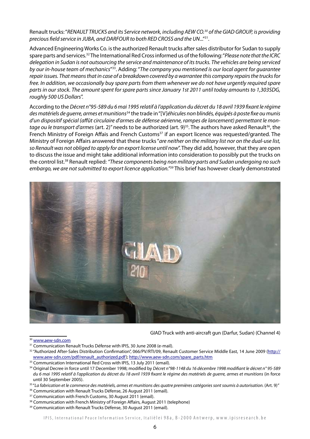Renault trucks: "*RENAULT TRUCKS and its Service network, including AEW CO.30 of the GIAD GROUP, is providing precious field service in JUBA, and DARFOUR to both RED CROSS and the UN*..."31.

Advanced Engineering Works Co. is the authorized Renault trucks after sales distributor for Sudan to supply spare parts and services.32 The International Red Cross informed us of the following: "*Please note that the ICRC delegation in Sudan is not outsourcing the service and maintenance of its trucks. The vehicles are being serviced by our in-house team of mechanics*"33. Adding: "*The company you mentioned is our local agent for guarantee repair issues. That means that in case of a breakdown covered by a warrantee this company repairs the trucks for free. In addition, we occasionally buy spare parts from them whenever we do not have urgently required spare parts in our stock. The amount spent for spare parts since January 1st 2011 until today amounts to 1,303SDG, roughly 500 US Dollars*".

According to the *Décret n°95-589 du 6 mai 1995 relatif à l'application du décret du 18 avril 1939 fixant le régime des matériels de guerre, armes et munitions*34 the trade in "[V]*éhicules non blindés, équipés à poste fixe ou munis d'un dispositif spécial (affût circulaire d'armes de défense aérienne, rampes de lancement) permettant le mon*tage ou le transport d'armes (art. 2)" needs to be authorized (art. 9)<sup>35</sup>. The authors have asked Renault<sup>36</sup>, the French Ministry of Foreign Affais and French Customs<sup>37</sup> if an export licence was requested/granted. The Ministry of Foreign Affairs answered that these trucks "*are neither on the military list nor on the dual-use list, so Renault was not obliged to apply for an export license until now*". They did add, however, that they are open to discuss the issue and might take additional information into consideration to possibly put the trucks on the control list.38 Renault replied: *"These components being non military parts and Sudan undergoing no such embargo, we are not submitted to export licence application."39* This brief has however clearly demonstrated



GIAD Truck with anti-aircraft gun (Darfur, Sudan) (Channel 4)

<sup>30</sup> www.aew-sdn.com

- <sup>36</sup> Communication with Renault Trucks Défense, 26 August 2011 (email).
- <sup>37</sup> Communication with French Customs, 30 August 2011 (email).
- 38 Communication with French Ministry of Foreign Affairs, August 2011 (telephone)

IPIS, International Peace Information Service, Italiëlei 98a, B-2000 Antwerp, www.ipisresearch.be

<sup>&</sup>lt;sup>31</sup> Communication Renault Trucks Défense with IPIS, 30 June 2008 (e-mail).

<sup>32 &</sup>quot;Authorized After-Sales Distribution Confirmation", 066/PV/RTI/09, Renault Customer Service Middle East, 14 June 2009 (http:// www.aew-sdn.com/pdf/renault\_authorized.pdf); http://www.aew-sdn.com/spare\_parts.htm

<sup>&</sup>lt;sup>33</sup> Communication International Red Cross with IPIS, 13 July 2011 (email).

<sup>34</sup> Original Decree in force until 17 December 1998; modified by *Décret n°98-1148 du 16 décembre 1998 modifiant le décret n° 95-589 du 6 mai 1995 relatif à l'application du décret du 18 avril 1939 fixant le régime des matériels de guerre, armes et munitions* (in force until 30 September 2005).

<sup>&</sup>lt;sup>35</sup> "La fabrication et le commerce des matériels, armes et munitions des quatre premières catégories sont soumis à autorisation. (Art. 9)"

<sup>&</sup>lt;sup>39</sup> Communication with Renault Trucks Défense, 30 August 2011 (email).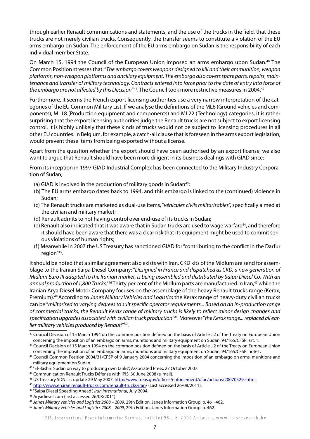through earlier Renault communications and statements, and the use of the trucks in the field, that these trucks are not merely civilian trucks. Consequently, the transfer seems to constitute a violation of the EU arms embargo on Sudan. The enforcement of the EU arms embargo on Sudan is the responsibility of each individual member State.

On March 15, 1994 the Council of the European Union imposed an arms embargo upon Sudan.<sup>40</sup> The Common Position stresses that: "*The embargo covers weapons designed to kill and their ammunition, weapon platforms, non-weapon platforms and ancillary equipment. The embargo also covers spare parts, repairs, main*tenance and transfer of military technology. Contracts entered into force prior to the date of entry into force of *the embargo are not affected by this Decision*"41. The Council took more restrictive measures in 2004.42

Furthermore, it seems the French export licensing authorities use a very narrow interpretation of the categories of the EU Common Military List. If we analyse the definitions of the ML6 (Ground vehicles and components), ML18 (Production equipment and components) and ML22 (Technology) categories, it is rather surprising that the export licensing authorities judge the Renault trucks are not subject to export licensing control. It is highly unlikely that these kinds of trucks would not be subject to licensing procedures in all other EU countries. In Belgium, for example, a catch-all clause that is foreseen in the arms export legislation, would prevent these items from being exported without a license.

Apart from the question whether the export should have been authorised by an export license, we also want to argue that Renault should have been more diligent in its business dealings with GIAD since:

From its inception in 1997 GIAD Industrial Complex has been connected to the Military Industry Corporation of Sudan;

- (a) GIAD is involved in the production of military goods in Sudan $43$ ;
- (b) The EU arms embargo dates back to 1994, and this embargo is linked to the (continued) violence in Sudan;
- (c) The Renault trucks are marketed as dual-use items, "*véhicules civils militarisables*", specifically aimed at the civilian and military market;
- (d) Renault admits to not having control over end-use of its trucks in Sudan;
- (e) Renault also indicated that it was aware that in Sudan trucks are used to wage warfare<sup>44</sup>, and therefore it should have been aware that there was a clear risk that its equipment might be used to commit serious violations of human rights;
- (f) Meanwhile in 2007 the US Treasury has sanctioned GIAD for "contributing to the conflict in the Darfur region"45.

It should be noted that a similar agreement also exists with Iran. CKD kits of the Midlum are send for assemblage to the Iranian Saipa Diesel Company: "*Designed in France and dispatched as CKD, a new generation of Midlum Euro III adapted to the Iranian market, is being assembled and distributed by Saipa Diesel Co. With an annual production of 1,800 Trucks*."46 Thirty per cent of the Midlum parts are manufactured in Iran,47 while the Iranian Arya Diesel Motor Company focuses on the assemblage of the heavy Renault trucks range (Kerax, Premium).48 According to *Jane's Military Vehicles and Logistics* the Kerax range of heavy-duty civilian trucks can be "*militarised to varying degrees to suit specific operator requirements... Based on an in-production range of commercial trucks, the Renault Kerax range of military trucks is likely to reflect minor design changes and specification upgrades associated with civilian truck production"49.* Moreover "*the Kerax range... replaced all earlier military vehicles produced by Renault*"50.

<sup>40</sup> Council Decision of 15 March 1994 on the common position defined on the basis of Article J.2 of the Treaty on European Union concerning the imposition of an embargo on arms, munitions and military equipment on Sudan, 94/165/CFSP: art. 1.

<sup>41</sup> Council Decision of 15 March 1994 on the common position defined on the basis of Article J.2 of the Treaty on European Union concerning the imposition of an embargo on arms, munitions and military equipment on Sudan, 94/165/CFSP: note1.

 $42$  Council Common Position 2004/31/CFSP of 9 January 2004 concerning the imposition of an embargo on arms, munitions and military equipment on Sudan.

<sup>43 &</sup>quot;El-Bashir: Sudan on way to producing own tanks", Associated Press, 27 October 2007.

<sup>44</sup> Communication Renault Trucks Défense with IPIS, 30 June 2008 (e-mail).

<sup>45</sup> US Treasury SDN list update 29 May 2007, http://www.treas.gov/offices/enforcement/ofac/actions/20070529.shtml.

<sup>46</sup> http://www.en.iran.renault-trucks.com/renault-trucks-iran/ (Last accessed 26/08/2011).

<sup>47 &</sup>quot;Saipa Diesel Speeding Ahead", *Iran International*, July 2004.

<sup>48</sup> Aryadiesel.com (last accessed 26/08/2011).

<sup>49</sup> *Jane's Military Vehicles and Logistics 2008 – 2009*, 29th Edition, Jane's Information Group: p. 461-462.

<sup>50</sup> *Jane's Military Vehicles and Logistics 2008 – 2009*, 29th Edition, Jane's Information Group: p. 462.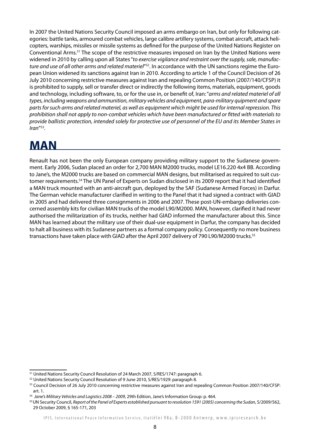In 2007 the United Nations Security Council imposed an arms embargo on Iran, but only for following categories: battle tanks, armoured combat vehicles, large calibre artillery systems, combat aircraft, attack helicopters, warships, missiles or missile systems as defined for the purpose of the United Nations Register on Conventional Arms.51 The scope of the restrictive measures imposed on Iran by the United Nations were widened in 2010 by calling upon all States "*to exercise vigilance and restraint over the supply, sale, manufacture and use of all other arms and related materiel*"52. In accordance with the UN sanctions regime the European Union widened its sanctions against Iran in 2010. According to article 1 of the Council Decision of 26 July 2010 concerning restrictive measures against Iran and repealing Common Position (2007/140/CFSP) it is prohibited to supply, sell or transfer direct or indirectly the following items, materials, equipment, goods and technology, including software, to, or for the use in, or benefit of, Iran: "*arms and related materiel of all types, including weapons and ammunition, military vehicles and equipment, para-military quipment and spare parts for such arms and related materiel, as well as equipment which might be used for internal repression. This prohibition shall not apply to non-combat vehicles which have been manufactured or fitted with materials to provide ballistic protection, intended solely for protective use of personnel of the EU and its Member States in Iran*"53.

### **MAN**

Renault has not been the only European company providing military support to the Sudanese government. Early 2006, Sudan placed an order for 2,700 MAN M2000 trucks, model LE16.220 4x4 BB. According to Jane's, the M2000 trucks are based on commercial MAN designs, but militarised as required to suit customer requirements.54 The UN Panel of Experts on Sudan disclosed in its 2009 report that it had identified a MAN truck mounted with an anti-aircraft gun, deployed by the SAF (Sudanese Armed Forces) in Darfur. The German vehicle manufacturer clarified in writing to the Panel that it had signed a contract with GIAD in 2005 and had delivered three consignments in 2006 and 2007. These post-UN-embargo deliveries concerned assembly kits for civilian MAN trucks of the model L90/M2000. MAN, however, clarified it had never authorised the militarization of its trucks, neither had GIAD informed the manufacturer about this. Since MAN has learned about the military use of their dual-use equipment in Darfur, the company has decided to halt all business with its Sudanese partners as a formal company policy. Consequently no more business transactions have taken place with GIAD after the April 2007 delivery of 790 L90/M2000 trucks.<sup>55</sup>

<sup>&</sup>lt;sup>51</sup> United Nations Security Council Resolution of 24 March 2007, S/RES/1747: paragraph 6.

<sup>52</sup> United Nations Security Council Resolution of 9 June 2010, S/RES/1929: paragraph 8.

<sup>53</sup> Council Decision of 26 July 2010 concerning restrictive measures against Iran and repealing Common Position 2007/140/CFSP: art. 1.

<sup>54</sup> *Jane's Military Vehicles and Logistics 2008 – 2009*, 29th Edition, Jane's Information Group: p. 464.

<sup>55</sup> UN Security Council, *Report of the Panel of Experts established pursuant to resolution 1591 (2005) concerning the Sudan*, S/2009/562, 29 October 2009, § 165-171, 203